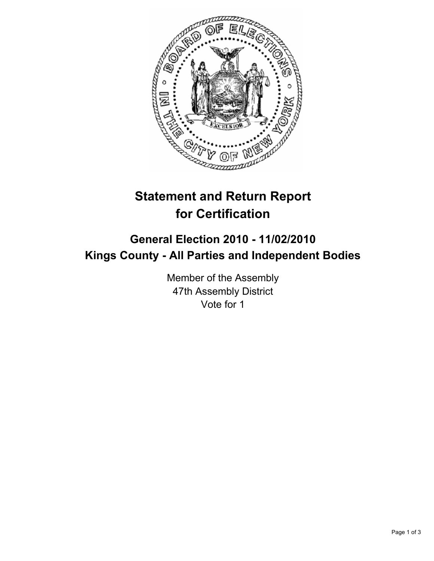

## **Statement and Return Report for Certification**

## **General Election 2010 - 11/02/2010 Kings County - All Parties and Independent Bodies**

Member of the Assembly 47th Assembly District Vote for 1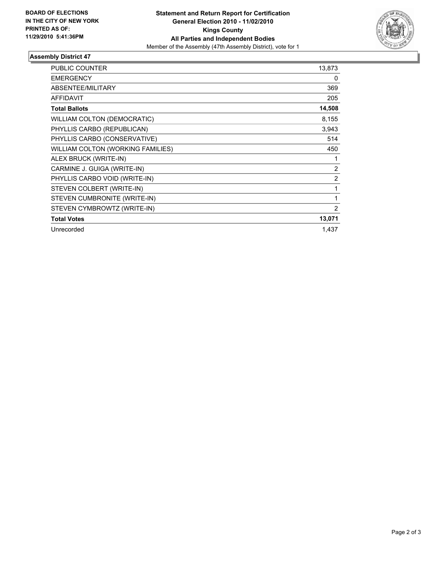

## **Assembly District 47**

| <b>PUBLIC COUNTER</b>             | 13,873         |
|-----------------------------------|----------------|
| <b>EMERGENCY</b>                  | 0              |
| ABSENTEE/MILITARY                 | 369            |
| <b>AFFIDAVIT</b>                  | 205            |
| <b>Total Ballots</b>              | 14,508         |
| WILLIAM COLTON (DEMOCRATIC)       | 8,155          |
| PHYLLIS CARBO (REPUBLICAN)        | 3,943          |
| PHYLLIS CARBO (CONSERVATIVE)      | 514            |
| WILLIAM COLTON (WORKING FAMILIES) | 450            |
| ALEX BRUCK (WRITE-IN)             | 1              |
| CARMINE J. GUIGA (WRITE-IN)       | 2              |
| PHYLLIS CARBO VOID (WRITE-IN)     | $\overline{2}$ |
| STEVEN COLBERT (WRITE-IN)         | 1              |
| STEVEN CUMBRONITE (WRITE-IN)      | 1              |
| STEVEN CYMBROWTZ (WRITE-IN)       | 2              |
| <b>Total Votes</b>                | 13,071         |
| Unrecorded                        | 1,437          |